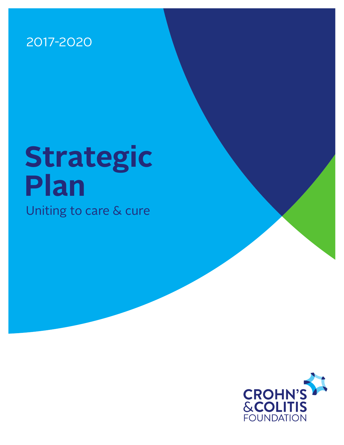### 2017-2020

# **Strategic Plan**

Uniting to care & cure

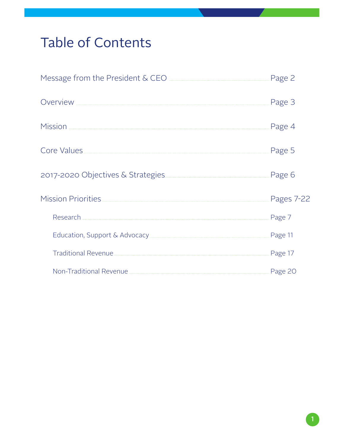# Table of Contents

|                                       | Page 3     |
|---------------------------------------|------------|
| Mission                               | Page 4     |
| Core Values <b>Marine Core Values</b> | Page 5     |
| 2017-2020 Objectives & Strategies     | Page 6     |
| Mission Priorities                    | Pages 7-22 |
|                                       | Page 7     |
|                                       | Page 11    |
|                                       | Page 17    |
|                                       |            |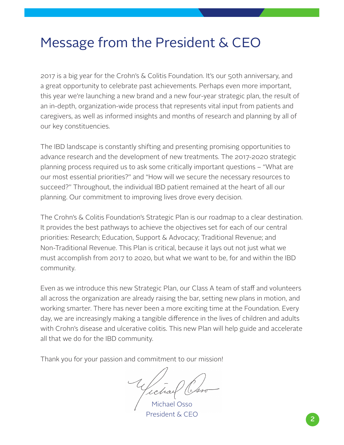### Message from the President & CEO

2017 is a big year for the Crohn's & Colitis Foundation. It's our 50th anniversary, and a great opportunity to celebrate past achievements. Perhaps even more important, this year we're launching a new brand and a new four-year strategic plan, the result of an in-depth, organization-wide process that represents vital input from patients and caregivers, as well as informed insights and months of research and planning by all of our key constituencies.

The IBD landscape is constantly shifting and presenting promising opportunities to advance research and the development of new treatments. The 2017-2020 strategic planning process required us to ask some critically important questions – "What are our most essential priorities?" and "How will we secure the necessary resources to succeed?" Throughout, the individual IBD patient remained at the heart of all our planning. Our commitment to improving lives drove every decision.

The Crohn's & Colitis Foundation's Strategic Plan is our roadmap to a clear destination. It provides the best pathways to achieve the objectives set for each of our central priorities: Research; Education, Support & Advocacy; Traditional Revenue; and Non-Traditional Revenue. This Plan is critical, because it lays out not just what we must accomplish from 2017 to 2020, but what we want to be, for and within the IBD community.

Even as we introduce this new Strategic Plan, our Class A team of staff and volunteers all across the organization are already raising the bar, setting new plans in motion, and working smarter. There has never been a more exciting time at the Foundation. Every day, we are increasingly making a tangible difference in the lives of children and adults with Crohn's disease and ulcerative colitis. This new Plan will help guide and accelerate all that we do for the IBD community.

Thank you for your passion and commitment to our mission!

Michael Osso President & CEO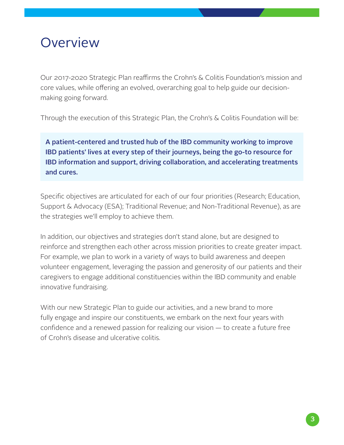### **Overview**

Our 2017-2020 Strategic Plan reaffirms the Crohn's & Colitis Foundation's mission and core values, while offering an evolved, overarching goal to help guide our decisionmaking going forward.

Through the execution of this Strategic Plan, the Crohn's & Colitis Foundation will be:

A patient-centered and trusted hub of the IBD community working to improve IBD patients' lives at every step of their journeys, being the go-to resource for IBD information and support, driving collaboration, and accelerating treatments and cures.

Specific objectives are articulated for each of our four priorities (Research; Education, Support & Advocacy (ESA); Traditional Revenue; and Non-Traditional Revenue), as are the strategies we'll employ to achieve them.

In addition, our objectives and strategies don't stand alone, but are designed to reinforce and strengthen each other across mission priorities to create greater impact. For example, we plan to work in a variety of ways to build awareness and deepen volunteer engagement, leveraging the passion and generosity of our patients and their caregivers to engage additional constituencies within the IBD community and enable innovative fundraising.

With our new Strategic Plan to guide our activities, and a new brand to more fully engage and inspire our constituents, we embark on the next four years with confidence and a renewed passion for realizing our vision — to create a future free of Crohn's disease and ulcerative colitis.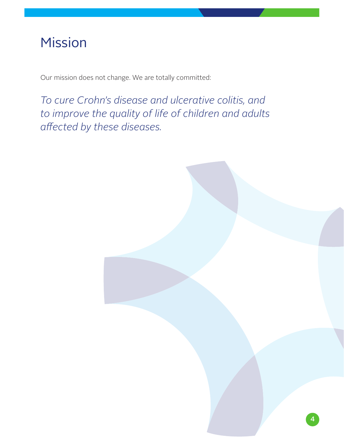### Mission

Our mission does not change. We are totally committed:

*To cure Crohn's disease and ulcerative colitis, and to improve the quality of life of children and adults affected by these diseases.*

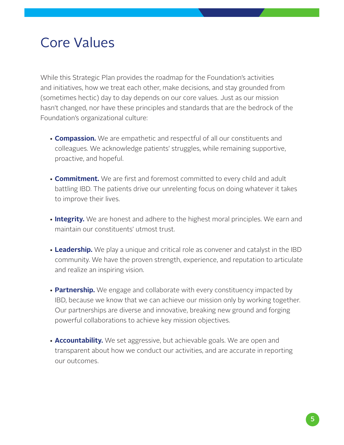### Core Values

While this Strategic Plan provides the roadmap for the Foundation's activities and initiatives, how we treat each other, make decisions, and stay grounded from (sometimes hectic) day to day depends on our core values. Just as our mission hasn't changed, nor have these principles and standards that are the bedrock of the Foundation's organizational culture:

- **Compassion.** We are empathetic and respectful of all our constituents and colleagues. We acknowledge patients' struggles, while remaining supportive, proactive, and hopeful.
- **Commitment.** We are first and foremost committed to every child and adult battling IBD. The patients drive our unrelenting focus on doing whatever it takes to improve their lives.
- **Integrity.** We are honest and adhere to the highest moral principles. We earn and maintain our constituents' utmost trust.
- **Leadership.** We play a unique and critical role as convener and catalyst in the IBD community. We have the proven strength, experience, and reputation to articulate and realize an inspiring vision.
- **Partnership.** We engage and collaborate with every constituency impacted by IBD, because we know that we can achieve our mission only by working together. Our partnerships are diverse and innovative, breaking new ground and forging powerful collaborations to achieve key mission objectives.
- **Accountability.** We set aggressive, but achievable goals. We are open and transparent about how we conduct our activities, and are accurate in reporting our outcomes.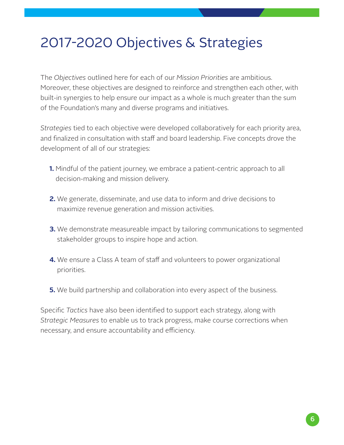# 2017-2020 Objectives & Strategies

The *Objectives* outlined here for each of our *Mission Priorities* are ambitious. Moreover, these objectives are designed to reinforce and strengthen each other, with built-in synergies to help ensure our impact as a whole is much greater than the sum of the Foundation's many and diverse programs and initiatives.

*Strategies* tied to each objective were developed collaboratively for each priority area, and finalized in consultation with staff and board leadership. Five concepts drove the development of all of our strategies:

- **1.** Mindful of the patient journey, we embrace a patient-centric approach to all decision-making and mission delivery.
- **2.** We generate, disseminate, and use data to inform and drive decisions to maximize revenue generation and mission activities.
- **3.** We demonstrate measureable impact by tailoring communications to segmented stakeholder groups to inspire hope and action.
- **4.** We ensure a Class A team of staff and volunteers to power organizational priorities.
- **5.** We build partnership and collaboration into every aspect of the business.

Specific *Tactics* have also been identified to support each strategy, along with *Strategic Measures* to enable us to track progress, make course corrections when necessary, and ensure accountability and efficiency.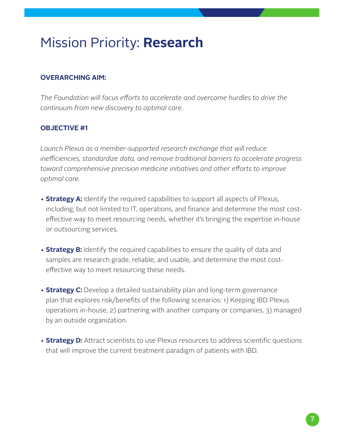#### **OVERARCHING AIM:**

*The Foundation will focus efforts to accelerate and overcome hurdles to drive the continuum from new discovery to optimal care.*

#### **OBJECTIVE #1**

*Launch Plexus as a member-supported research exchange that will reduce inefficiencies, standardize data, and remove traditional barriers to accelerate progress toward comprehensive precision medicine initiatives and other efforts to improve optimal care.*

- **Strategy A:** Identify the required capabilities to support all aspects of Plexus, including, but not limited to IT, operations, and finance and determine the most costeffective way to meet resourcing needs, whether it's bringing the expertise in-house or outsourcing services.
- **Strategy B:** Identify the required capabilities to ensure the quality of data and samples are research grade, reliable, and usable, and determine the most costeffective way to meet resourcing these needs.
- **Strategy C:** Develop a detailed sustainability plan and long-term governance plan that explores risk/benefits of the following scenarios: 1) Keeping IBD Plexus operations in-house, 2) partnering with another company or companies, 3) managed by an outside organization.
- **Strategy D:** Attract scientists to use Plexus resources to address scientific questions that will improve the current treatment paradigm of patients with IBD.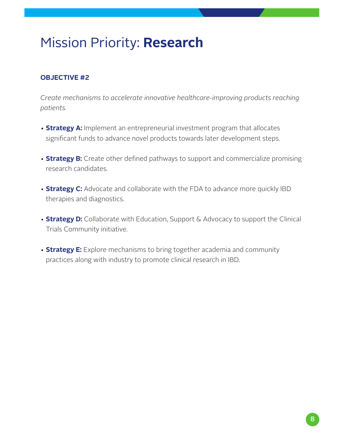#### **OBJECTIVE #2**

*Create mechanisms to accelerate innovative healthcare-improving products reaching patients.*

- **Strategy A:** Implement an entrepreneurial investment program that allocates significant funds to advance novel products towards later development steps.
- **Strategy B:** Create other defined pathways to support and commercialize promising research candidates.
- **Strategy C:** Advocate and collaborate with the FDA to advance more quickly IBD therapies and diagnostics.
- **Strategy D:** Collaborate with Education, Support & Advocacy to support the Clinical Trials Community initiative.
- **Strategy E:** Explore mechanisms to bring together academia and community practices along with industry to promote clinical research in IBD.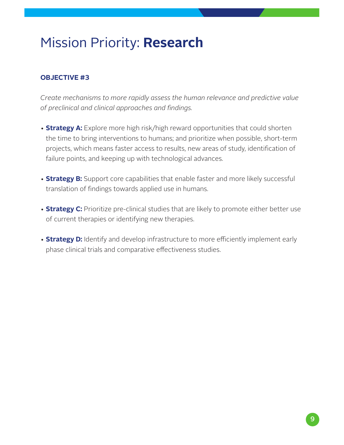### **OBJECTIVE #3**

*Create mechanisms to more rapidly assess the human relevance and predictive value of preclinical and clinical approaches and findings.*

- **Strategy A:** Explore more high risk/high reward opportunities that could shorten the time to bring interventions to humans; and prioritize when possible, short-term projects, which means faster access to results, new areas of study, identification of failure points, and keeping up with technological advances.
- **Strategy B:** Support core capabilities that enable faster and more likely successful translation of findings towards applied use in humans.
- **Strategy C:** Prioritize pre-clinical studies that are likely to promote either better use of current therapies or identifying new therapies.
- **Strategy D:** Identify and develop infrastructure to more efficiently implement early phase clinical trials and comparative effectiveness studies.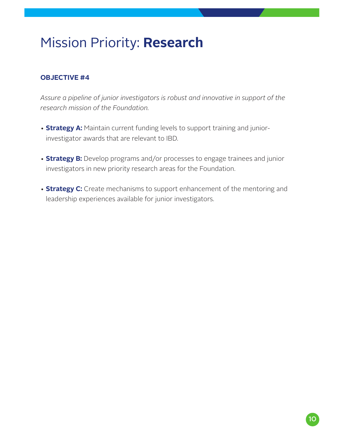#### **OBJECTIVE #4**

*Assure a pipeline of junior investigators is robust and innovative in support of the research mission of the Foundation.*

- **Strategy A:** Maintain current funding levels to support training and juniorinvestigator awards that are relevant to IBD.
- **Strategy B:** Develop programs and/or processes to engage trainees and junior investigators in new priority research areas for the Foundation.
- **Strategy C:** Create mechanisms to support enhancement of the mentoring and leadership experiences available for junior investigators.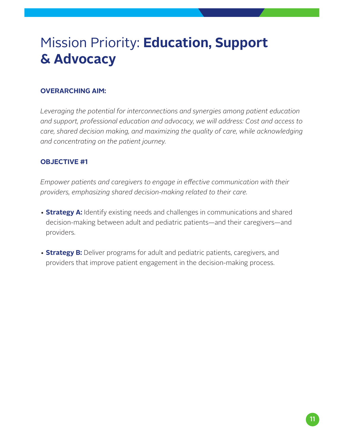#### **OVERARCHING AIM:**

*Leveraging the potential for interconnections and synergies among patient education and support, professional education and advocacy, we will address: Cost and access to care, shared decision making, and maximizing the quality of care, while acknowledging and concentrating on the patient journey.*

#### **OBJECTIVE #1**

*Empower patients and caregivers to engage in effective communication with their providers, emphasizing shared decision-making related to their care.*

- **Strategy A:** Identify existing needs and challenges in communications and shared decision-making between adult and pediatric patients—and their caregivers—and providers.
- **Strategy B:** Deliver programs for adult and pediatric patients, caregivers, and providers that improve patient engagement in the decision-making process.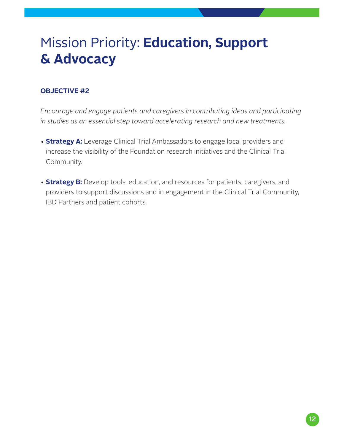#### **OBJECTIVE #2**

*Encourage and engage patients and caregivers in contributing ideas and participating in studies as an essential step toward accelerating research and new treatments.*

- **Strategy A:** Leverage Clinical Trial Ambassadors to engage local providers and increase the visibility of the Foundation research initiatives and the Clinical Trial Community.
- **Strategy B:** Develop tools, education, and resources for patients, caregivers, and providers to support discussions and in engagement in the Clinical Trial Community, IBD Partners and patient cohorts.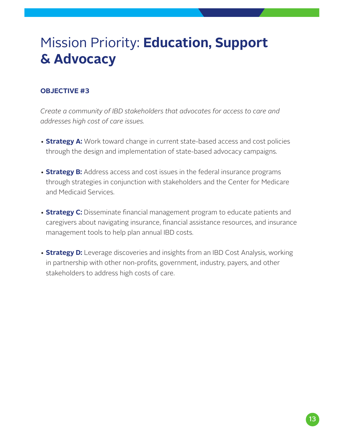#### **OBJECTIVE #3**

*Create a community of IBD stakeholders that advocates for access to care and addresses high cost of care issues.*

- **Strategy A:** Work toward change in current state-based access and cost policies through the design and implementation of state-based advocacy campaigns.
- **Strategy B:** Address access and cost issues in the federal insurance programs through strategies in conjunction with stakeholders and the Center for Medicare and Medicaid Services.
- **Strategy C:** Disseminate financial management program to educate patients and caregivers about navigating insurance, financial assistance resources, and insurance management tools to help plan annual IBD costs.
- **Strategy D:** Leverage discoveries and insights from an IBD Cost Analysis, working in partnership with other non-profits, government, industry, payers, and other stakeholders to address high costs of care.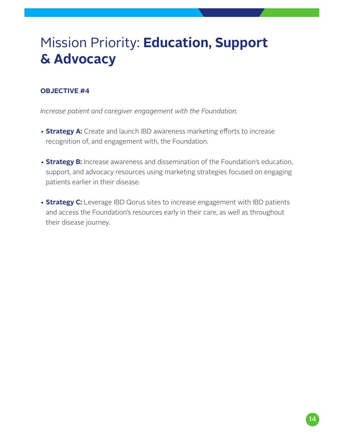#### **OBJECTIVE #4**

*Increase patient and caregiver engagement with the Foundation.*

- **Strategy A:** Create and launch IBD awareness marketing efforts to increase recognition of, and engagement with, the Foundation.
- **Strategy B:** Increase awareness and dissemination of the Foundation's education, support, and advocacy resources using marketing strategies focused on engaging patients earlier in their disease.
- **Strategy C:** Leverage IBD Qorus sites to increase engagement with IBD patients and access the Foundation's resources early in their care, as well as throughout their disease journey.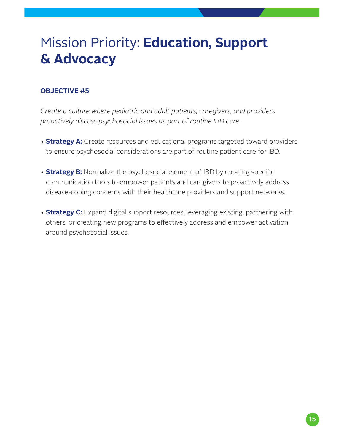#### **OBJECTIVE #5**

*Create a culture where pediatric and adult patients, caregivers, and providers proactively discuss psychosocial issues as part of routine IBD care.*

- **Strategy A:** Create resources and educational programs targeted toward providers to ensure psychosocial considerations are part of routine patient care for IBD.
- **Strategy B:** Normalize the psychosocial element of IBD by creating specific communication tools to empower patients and caregivers to proactively address disease-coping concerns with their healthcare providers and support networks.
- **Strategy C:** Expand digital support resources, leveraging existing, partnering with others, or creating new programs to effectively address and empower activation around psychosocial issues.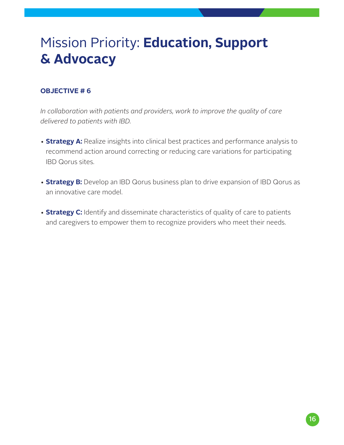#### **OBJECTIVE # 6**

*In collaboration with patients and providers, work to improve the quality of care delivered to patients with IBD.*

- **Strategy A:** Realize insights into clinical best practices and performance analysis to recommend action around correcting or reducing care variations for participating IBD Qorus sites.
- **Strategy B:** Develop an IBD Qorus business plan to drive expansion of IBD Qorus as an innovative care model.
- **Strategy C:** Identify and disseminate characteristics of quality of care to patients and caregivers to empower them to recognize providers who meet their needs.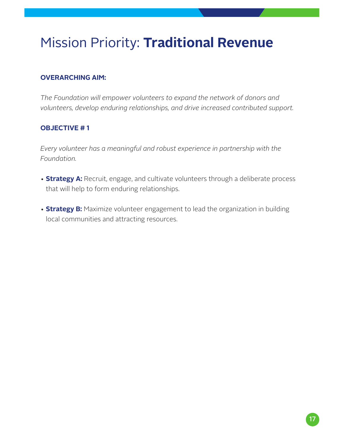# Mission Priority: **Traditional Revenue**

#### **OVERARCHING AIM:**

*The Foundation will empower volunteers to expand the network of donors and volunteers, develop enduring relationships, and drive increased contributed support.*

#### **OBJECTIVE # 1**

*Every volunteer has a meaningful and robust experience in partnership with the Foundation.*

- **Strategy A:** Recruit, engage, and cultivate volunteers through a deliberate process that will help to form enduring relationships.
- **Strategy B:** Maximize volunteer engagement to lead the organization in building local communities and attracting resources.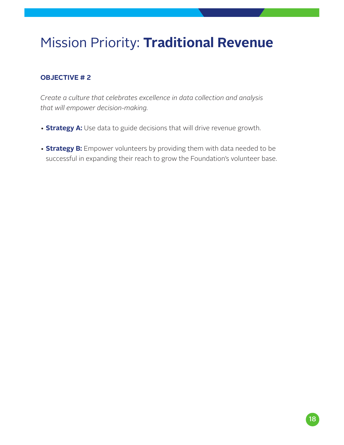### Mission Priority: **Traditional Revenue**

#### **OBJECTIVE # 2**

*Create a culture that celebrates excellence in data collection and analysis that will empower decision-making.*

- **Strategy A:** Use data to guide decisions that will drive revenue growth.
- **Strategy B:** Empower volunteers by providing them with data needed to be successful in expanding their reach to grow the Foundation's volunteer base.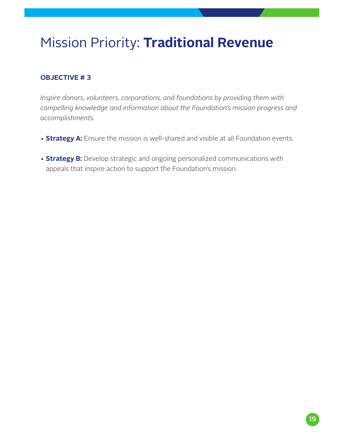### Mission Priority: **Traditional Revenue**

### **OBJECTIVE # 3**

*Inspire donors, volunteers, corporations, and foundations by providing them with compelling knowledge and information about the Foundation's mission progress and accomplishments.*

- **Strategy A:** Ensure the mission is well-shared and visible at all Foundation events.
- **Strategy B:** Develop strategic and ongoing personalized communications with appeals that inspire action to support the Foundation's mission.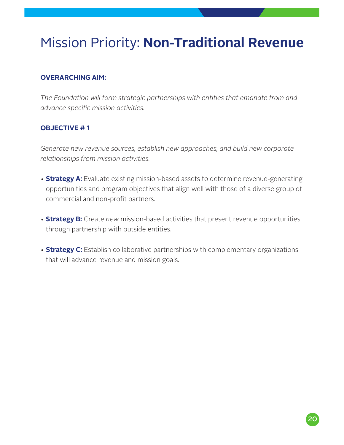# Mission Priority: **Non-Traditional Revenue**

#### **OVERARCHING AIM:**

*The Foundation will form strategic partnerships with entities that emanate from and advance specific mission activities.*

#### **OBJECTIVE # 1**

*Generate new revenue sources, establish new approaches, and build new corporate relationships from mission activities.*

- **Strategy A:** Evaluate existing mission-based assets to determine revenue-generating opportunities and program objectives that align well with those of a diverse group of commercial and non-profit partners.
- **Strategy B:** Create *new* mission-based activities that present revenue opportunities through partnership with outside entities.
- **Strategy C:** Establish collaborative partnerships with complementary organizations that will advance revenue and mission goals.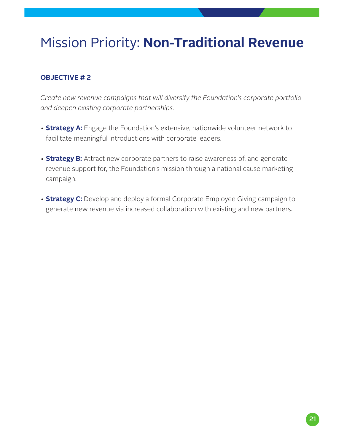### Mission Priority: **Non-Traditional Revenue**

#### **OBJECTIVE # 2**

*Create new revenue campaigns that will diversify the Foundation's corporate portfolio and deepen existing corporate partnerships.*

- **Strategy A:** Engage the Foundation's extensive, nationwide volunteer network to facilitate meaningful introductions with corporate leaders.
- **Strategy B:** Attract new corporate partners to raise awareness of, and generate revenue support for, the Foundation's mission through a national cause marketing campaign.
- **Strategy C:** Develop and deploy a formal Corporate Employee Giving campaign to generate new revenue via increased collaboration with existing and new partners.